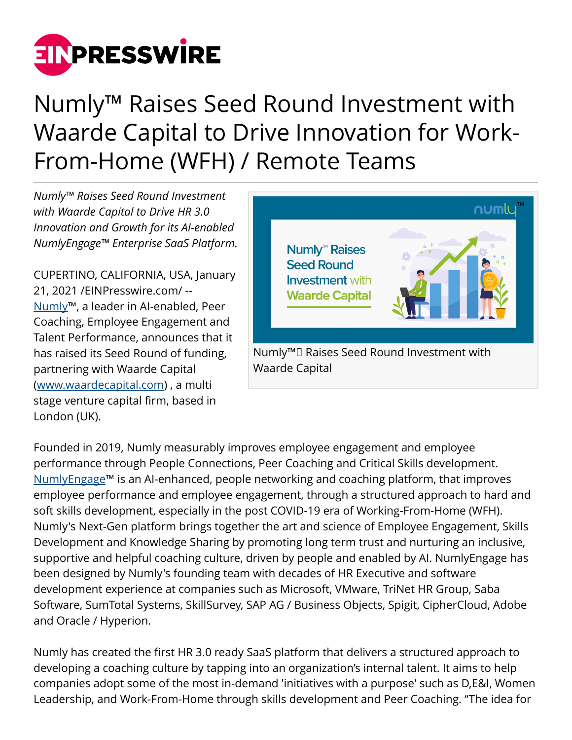

## Numly™ Raises Seed Round Investment with Waarde Capital to Drive Innovation for Work-From-Home (WFH) / Remote Teams

*Numly™ Raises Seed Round Investment with Waarde Capital to Drive HR 3.0 Innovation and Growth for its AI-enabled NumlyEngage™ Enterprise SaaS Platform.*

CUPERTINO, CALIFORNIA, USA, January 21, 2021 /[EINPresswire.com/](http://www.einpresswire.com) -- [Numly™](https://www.numly.io/), a leader in AI-enabled, Peer Coaching, Employee Engagement and Talent Performance, announces that it has raised its Seed Round of funding, partnering with Waarde Capital ([www.waardecapital.com\)](http://www.waardecapital.com) , a multi stage venture capital firm, based in London (UK).



Founded in 2019, Numly measurably improves employee engagement and employee performance through People Connections, Peer Coaching and Critical Skills development. [NumlyEngage](https://www.numly.io/products/enterprise/)™ is an AI-enhanced, people networking and coaching platform, that improves employee performance and employee engagement, through a structured approach to hard and soft skills development, especially in the post COVID-19 era of Working-From-Home (WFH). Numly's Next-Gen platform brings together the art and science of Employee Engagement, Skills Development and Knowledge Sharing by promoting long term trust and nurturing an inclusive, supportive and helpful coaching culture, driven by people and enabled by AI. NumlyEngage has been designed by Numly's founding team with decades of HR Executive and software development experience at companies such as Microsoft, VMware, TriNet HR Group, Saba Software, SumTotal Systems, SkillSurvey, SAP AG / Business Objects, Spigit, CipherCloud, Adobe and Oracle / Hyperion.

Numly has created the first HR 3.0 ready SaaS platform that delivers a structured approach to developing a coaching culture by tapping into an organization's internal talent. It aims to help companies adopt some of the most in-demand 'initiatives with a purpose' such as D,E&I, Women Leadership, and Work-From-Home through skills development and Peer Coaching. "The idea for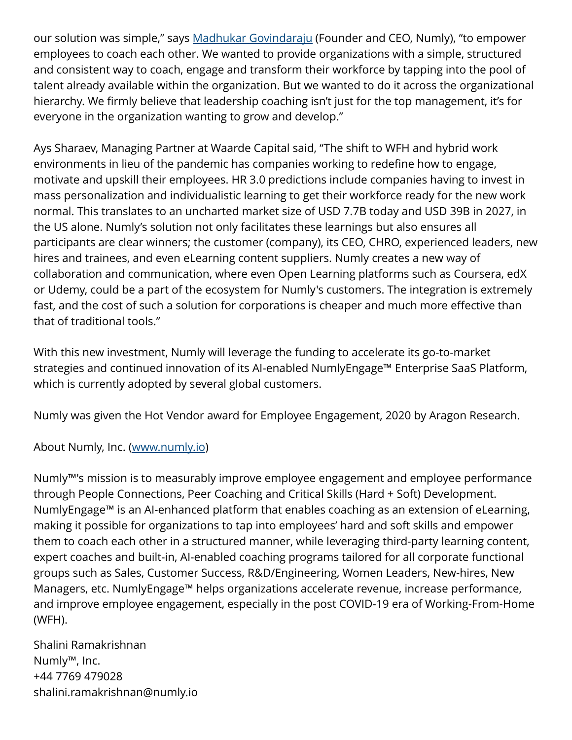our solution was simple," says [Madhukar Govindaraju](https://www.linkedin.com/in/madhukar/) (Founder and CEO, Numly), "to empower employees to coach each other. We wanted to provide organizations with a simple, structured and consistent way to coach, engage and transform their workforce by tapping into the pool of talent already available within the organization. But we wanted to do it across the organizational hierarchy. We firmly believe that leadership coaching isn't just for the top management, it's for everyone in the organization wanting to grow and develop."

Ays Sharaev, Managing Partner at Waarde Capital said, "The shift to WFH and hybrid work environments in lieu of the pandemic has companies working to redefine how to engage, motivate and upskill their employees. HR 3.0 predictions include companies having to invest in mass personalization and individualistic learning to get their workforce ready for the new work normal. This translates to an uncharted market size of USD 7.7B today and USD 39B in 2027, in the US alone. Numly's solution not only facilitates these learnings but also ensures all participants are clear winners; the customer (company), its CEO, CHRO, experienced leaders, new hires and trainees, and even eLearning content suppliers. Numly creates a new way of collaboration and communication, where even Open Learning platforms such as Coursera, edX or Udemy, could be a part of the ecosystem for Numly's customers. The integration is extremely fast, and the cost of such a solution for corporations is cheaper and much more effective than that of traditional tools."

With this new investment, Numly will leverage the funding to accelerate its go-to-market strategies and continued innovation of its AI-enabled NumlyEngage™ Enterprise SaaS Platform, which is currently adopted by several global customers.

Numly was given the Hot Vendor award for Employee Engagement, 2020 by Aragon Research.

About Numly, Inc. [\(www.numly.io\)](http://www.numly.io)

Numly™'s mission is to measurably improve employee engagement and employee performance through People Connections, Peer Coaching and Critical Skills (Hard + Soft) Development. NumlyEngage™ is an AI-enhanced platform that enables coaching as an extension of eLearning, making it possible for organizations to tap into employees' hard and soft skills and empower them to coach each other in a structured manner, while leveraging third-party learning content, expert coaches and built-in, AI-enabled coaching programs tailored for all corporate functional groups such as Sales, Customer Success, R&D/Engineering, Women Leaders, New-hires, New Managers, etc. NumlyEngage™ helps organizations accelerate revenue, increase performance, and improve employee engagement, especially in the post COVID-19 era of Working-From-Home (WFH).

Shalini Ramakrishnan Numly™, Inc. +44 7769 479028 shalini.ramakrishnan@numly.io